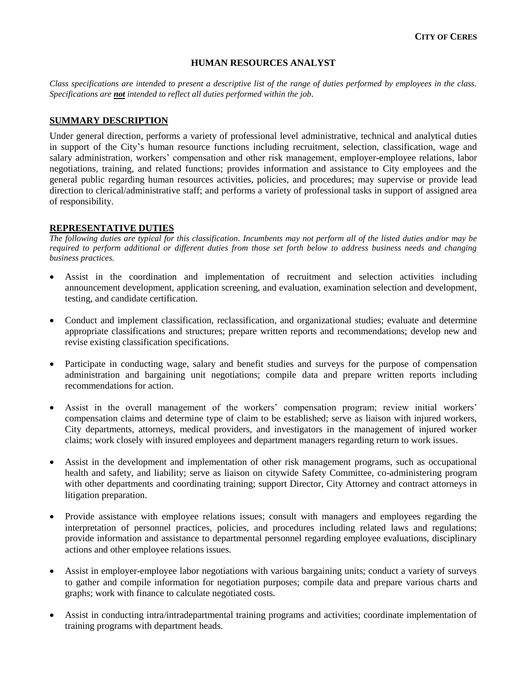#### **HUMAN RESOURCES ANALYST**

*Class specifications are intended to present a descriptive list of the range of duties performed by employees in the class. Specifications are not intended to reflect all duties performed within the job.*

### **SUMMARY DESCRIPTION**

Under general direction, performs a variety of professional level administrative, technical and analytical duties in support of the City's human resource functions including recruitment, selection, classification, wage and salary administration, workers' compensation and other risk management, employer-employee relations, labor negotiations, training, and related functions; provides information and assistance to City employees and the general public regarding human resources activities, policies, and procedures; may supervise or provide lead direction to clerical/administrative staff; and performs a variety of professional tasks in support of assigned area of responsibility.

### **REPRESENTATIVE DUTIES**

*The following duties are typical for this classification. Incumbents may not perform all of the listed duties and/or may be required to perform additional or different duties from those set forth below to address business needs and changing business practices.*

- Assist in the coordination and implementation of recruitment and selection activities including announcement development, application screening, and evaluation, examination selection and development, testing, and candidate certification.
- Conduct and implement classification, reclassification, and organizational studies; evaluate and determine appropriate classifications and structures; prepare written reports and recommendations; develop new and revise existing classification specifications.
- Participate in conducting wage, salary and benefit studies and surveys for the purpose of compensation administration and bargaining unit negotiations; compile data and prepare written reports including recommendations for action.
- Assist in the overall management of the workers' compensation program; review initial workers' compensation claims and determine type of claim to be established; serve as liaison with injured workers, City departments, attorneys, medical providers, and investigators in the management of injured worker claims; work closely with insured employees and department managers regarding return to work issues.
- Assist in the development and implementation of other risk management programs, such as occupational health and safety, and liability; serve as liaison on citywide Safety Committee, co-administering program with other departments and coordinating training; support Director, City Attorney and contract attorneys in litigation preparation.
- Provide assistance with employee relations issues; consult with managers and employees regarding the interpretation of personnel practices, policies, and procedures including related laws and regulations; provide information and assistance to departmental personnel regarding employee evaluations, disciplinary actions and other employee relations issues.
- Assist in employer-employee labor negotiations with various bargaining units; conduct a variety of surveys to gather and compile information for negotiation purposes; compile data and prepare various charts and graphs; work with finance to calculate negotiated costs.
- Assist in conducting intra/intradepartmental training programs and activities; coordinate implementation of training programs with department heads.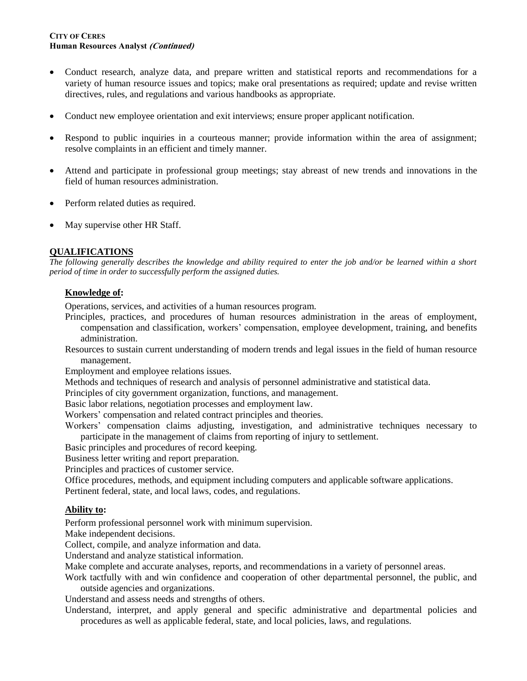### **CITY OF CERES Human Resources Analyst (Continued)**

- Conduct research, analyze data, and prepare written and statistical reports and recommendations for a variety of human resource issues and topics; make oral presentations as required; update and revise written directives, rules, and regulations and various handbooks as appropriate.
- Conduct new employee orientation and exit interviews; ensure proper applicant notification.
- Respond to public inquiries in a courteous manner; provide information within the area of assignment; resolve complaints in an efficient and timely manner.
- Attend and participate in professional group meetings; stay abreast of new trends and innovations in the field of human resources administration.
- Perform related duties as required.
- May supervise other HR Staff.

# **QUALIFICATIONS**

*The following generally describes the knowledge and ability required to enter the job and/or be learned within a short period of time in order to successfully perform the assigned duties.*

# **Knowledge of:**

Operations, services, and activities of a human resources program.

- Principles, practices, and procedures of human resources administration in the areas of employment, compensation and classification, workers' compensation, employee development, training, and benefits administration.
- Resources to sustain current understanding of modern trends and legal issues in the field of human resource management.

Employment and employee relations issues.

Methods and techniques of research and analysis of personnel administrative and statistical data.

Principles of city government organization, functions, and management.

Basic labor relations, negotiation processes and employment law.

Workers' compensation and related contract principles and theories.

Workers' compensation claims adjusting, investigation, and administrative techniques necessary to participate in the management of claims from reporting of injury to settlement.

Basic principles and procedures of record keeping.

Business letter writing and report preparation.

Principles and practices of customer service.

Office procedures, methods, and equipment including computers and applicable software applications. Pertinent federal, state, and local laws, codes, and regulations.

### **Ability to:**

Perform professional personnel work with minimum supervision.

Make independent decisions.

Collect, compile, and analyze information and data.

Understand and analyze statistical information.

Make complete and accurate analyses, reports, and recommendations in a variety of personnel areas.

Work tactfully with and win confidence and cooperation of other departmental personnel, the public, and outside agencies and organizations.

Understand and assess needs and strengths of others.

Understand, interpret, and apply general and specific administrative and departmental policies and procedures as well as applicable federal, state, and local policies, laws, and regulations.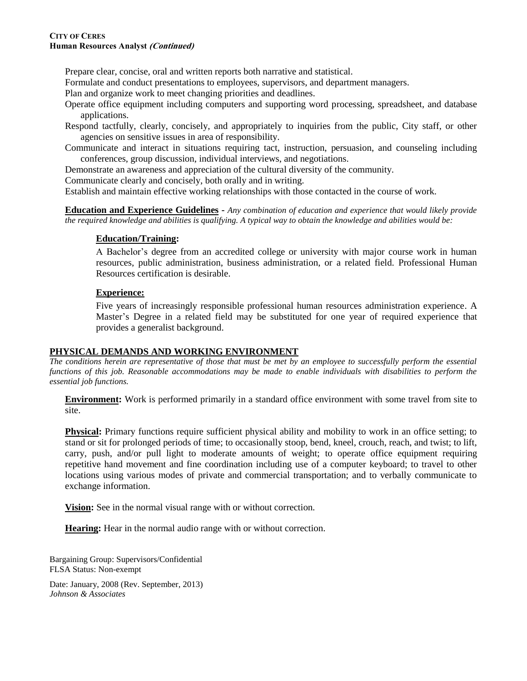### **CITY OF CERES Human Resources Analyst (Continued)**

Prepare clear, concise, oral and written reports both narrative and statistical.

Formulate and conduct presentations to employees, supervisors, and department managers.

Plan and organize work to meet changing priorities and deadlines.

Operate office equipment including computers and supporting word processing, spreadsheet, and database applications.

Respond tactfully, clearly, concisely, and appropriately to inquiries from the public, City staff, or other agencies on sensitive issues in area of responsibility.

Communicate and interact in situations requiring tact, instruction, persuasion, and counseling including conferences, group discussion, individual interviews, and negotiations.

Demonstrate an awareness and appreciation of the cultural diversity of the community.

Communicate clearly and concisely, both orally and in writing.

Establish and maintain effective working relationships with those contacted in the course of work.

**Education and Experience Guidelines -** *Any combination of education and experience that would likely provide the required knowledge and abilities is qualifying. A typical way to obtain the knowledge and abilities would be:*

### **Education/Training:**

A Bachelor's degree from an accredited college or university with major course work in human resources, public administration, business administration, or a related field. Professional Human Resources certification is desirable.

### **Experience:**

Five years of increasingly responsible professional human resources administration experience. A Master's Degree in a related field may be substituted for one year of required experience that provides a generalist background.

### **PHYSICAL DEMANDS AND WORKING ENVIRONMENT**

*The conditions herein are representative of those that must be met by an employee to successfully perform the essential functions of this job. Reasonable accommodations may be made to enable individuals with disabilities to perform the essential job functions.*

**Environment:** Work is performed primarily in a standard office environment with some travel from site to site.

**Physical:** Primary functions require sufficient physical ability and mobility to work in an office setting; to stand or sit for prolonged periods of time; to occasionally stoop, bend, kneel, crouch, reach, and twist; to lift, carry, push, and/or pull light to moderate amounts of weight; to operate office equipment requiring repetitive hand movement and fine coordination including use of a computer keyboard; to travel to other locations using various modes of private and commercial transportation; and to verbally communicate to exchange information.

**Vision:** See in the normal visual range with or without correction.

**Hearing:** Hear in the normal audio range with or without correction.

Bargaining Group: Supervisors/Confidential FLSA Status: Non-exempt

Date: January, 2008 (Rev. September, 2013) *Johnson & Associates*